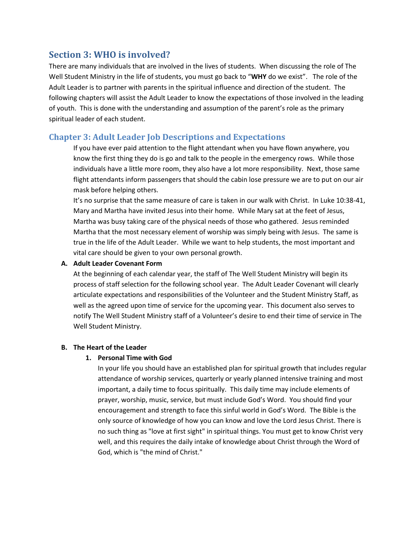# **Section 3: WHO is involved?**

There are many individuals that are involved in the lives of students. When discussing the role of The Well Student Ministry in the life of students, you must go back to "**WHY** do we exist". The role of the Adult Leader is to partner with parents in the spiritual influence and direction of the student. The following chapters will assist the Adult Leader to know the expectations of those involved in the leading of youth. This is done with the understanding and assumption of the parent's role as the primary spiritual leader of each student.

# **Chapter 3: Adult Leader Job Descriptions and Expectations**

If you have ever paid attention to the flight attendant when you have flown anywhere, you know the first thing they do is go and talk to the people in the emergency rows. While those individuals have a little more room, they also have a lot more responsibility. Next, those same flight attendants inform passengers that should the cabin lose pressure we are to put on our air mask before helping others.

It's no surprise that the same measure of care is taken in our walk with Christ. In Luke 10:38-41, Mary and Martha have invited Jesus into their home. While Mary sat at the feet of Jesus, Martha was busy taking care of the physical needs of those who gathered. Jesus reminded Martha that the most necessary element of worship was simply being with Jesus. The same is true in the life of the Adult Leader. While we want to help students, the most important and vital care should be given to your own personal growth.

## **A. Adult Leader Covenant Form**

At the beginning of each calendar year, the staff of The Well Student Ministry will begin its process of staff selection for the following school year. The Adult Leader Covenant will clearly articulate expectations and responsibilities of the Volunteer and the Student Ministry Staff, as well as the agreed upon time of service for the upcoming year. This document also serves to notify The Well Student Ministry staff of a Volunteer's desire to end their time of service in The Well Student Ministry.

# **B. The Heart of the Leader**

# **1. Personal Time with God**

In your life you should have an established plan for spiritual growth that includes regular attendance of worship services, quarterly or yearly planned intensive training and most important, a daily time to focus spiritually. This daily time may include elements of prayer, worship, music, service, but must include God's Word. You should find your encouragement and strength to face this sinful world in God's Word. The Bible is the only source of knowledge of how you can know and love the Lord Jesus Christ. There is no such thing as "love at first sight" in spiritual things. You must get to know Christ very well, and this requires the daily intake of knowledge about Christ through the Word of God, which is "the mind of Christ."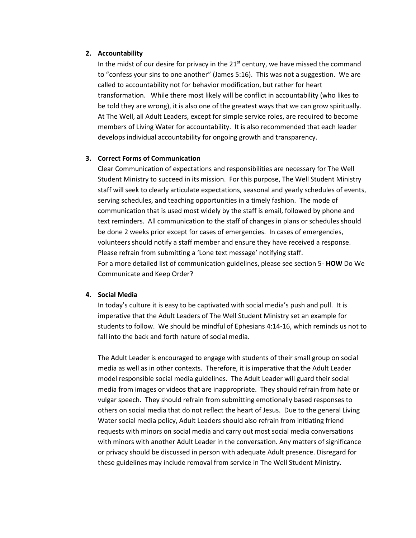#### **2. Accountability**

In the midst of our desire for privacy in the  $21<sup>st</sup>$  century, we have missed the command to "confess your sins to one another" (James 5:16). This was not a suggestion. We are called to accountability not for behavior modification, but rather for heart transformation. While there most likely will be conflict in accountability (who likes to be told they are wrong), it is also one of the greatest ways that we can grow spiritually. At The Well, all Adult Leaders, except for simple service roles, are required to become members of Living Water for accountability. It is also recommended that each leader develops individual accountability for ongoing growth and transparency.

#### **3. Correct Forms of Communication**

Clear Communication of expectations and responsibilities are necessary for The Well Student Ministry to succeed in its mission. For this purpose, The Well Student Ministry staff will seek to clearly articulate expectations, seasonal and yearly schedules of events, serving schedules, and teaching opportunities in a timely fashion. The mode of communication that is used most widely by the staff is email, followed by phone and text reminders. All communication to the staff of changes in plans or schedules should be done 2 weeks prior except for cases of emergencies. In cases of emergencies, volunteers should notify a staff member and ensure they have received a response. Please refrain from submitting a 'Lone text message' notifying staff. For a more detailed list of communication guidelines, please see section 5- **HOW** Do We Communicate and Keep Order?

#### **4. Social Media**

In today's culture it is easy to be captivated with social media's push and pull. It is imperative that the Adult Leaders of The Well Student Ministry set an example for students to follow. We should be mindful of Ephesians 4:14-16, which reminds us not to fall into the back and forth nature of social media.

The Adult Leader is encouraged to engage with students of their small group on social media as well as in other contexts. Therefore, it is imperative that the Adult Leader model responsible social media guidelines. The Adult Leader will guard their social media from images or videos that are inappropriate. They should refrain from hate or vulgar speech. They should refrain from submitting emotionally based responses to others on social media that do not reflect the heart of Jesus. Due to the general Living Water social media policy, Adult Leaders should also refrain from initiating friend requests with minors on social media and carry out most social media conversations with minors with another Adult Leader in the conversation. Any matters of significance or privacy should be discussed in person with adequate Adult presence. Disregard for these guidelines may include removal from service in The Well Student Ministry.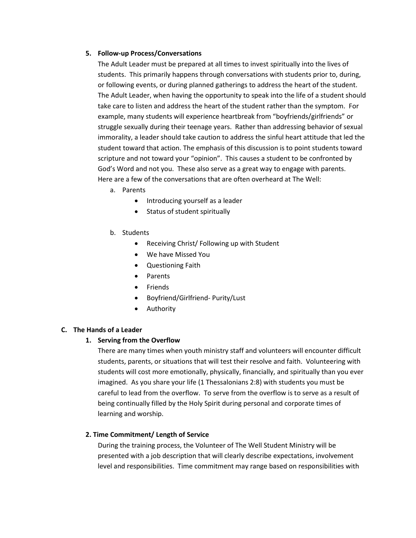## **5. Follow-up Process/Conversations**

The Adult Leader must be prepared at all times to invest spiritually into the lives of students. This primarily happens through conversations with students prior to, during, or following events, or during planned gatherings to address the heart of the student. The Adult Leader, when having the opportunity to speak into the life of a student should take care to listen and address the heart of the student rather than the symptom. For example, many students will experience heartbreak from "boyfriends/girlfriends" or struggle sexually during their teenage years. Rather than addressing behavior of sexual immorality, a leader should take caution to address the sinful heart attitude that led the student toward that action. The emphasis of this discussion is to point students toward scripture and not toward your "opinion". This causes a student to be confronted by God's Word and not you. These also serve as a great way to engage with parents. Here are a few of the conversations that are often overheard at The Well:

- a. Parents
	- Introducing yourself as a leader
	- Status of student spiritually
- b. Students
	- Receiving Christ/ Following up with Student
	- We have Missed You
	- Questioning Faith
	- Parents
	- Friends
	- Boyfriend/Girlfriend- Purity/Lust
	- Authority

# **C. The Hands of a Leader**

# **1. Serving from the Overflow**

There are many times when youth ministry staff and volunteers will encounter difficult students, parents, or situations that will test their resolve and faith. Volunteering with students will cost more emotionally, physically, financially, and spiritually than you ever imagined. As you share your life (1 Thessalonians 2:8) with students you must be careful to lead from the overflow. To serve from the overflow is to serve as a result of being continually filled by the Holy Spirit during personal and corporate times of learning and worship.

# **2. Time Commitment/ Length of Service**

During the training process, the Volunteer of The Well Student Ministry will be presented with a job description that will clearly describe expectations, involvement level and responsibilities. Time commitment may range based on responsibilities with